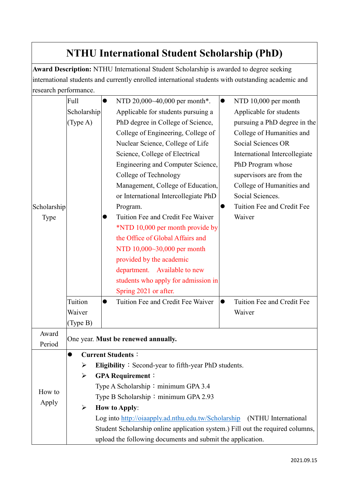## **NTHU International Student Scholarship (PhD)**

**Award Description:** NTHU International Student Scholarship is awarded to degree seeking international students and currently enrolled international students with outstanding academic and research performance.

|                 | Full                                                                           |  | NTD 20,000~40,000 per month*.        | $\bullet$ | NTD 10,000 per month          |  |  |
|-----------------|--------------------------------------------------------------------------------|--|--------------------------------------|-----------|-------------------------------|--|--|
|                 | Scholarship                                                                    |  | Applicable for students pursuing a   |           | Applicable for students       |  |  |
|                 | (Type A)                                                                       |  | PhD degree in College of Science,    |           | pursuing a PhD degree in the  |  |  |
|                 |                                                                                |  | College of Engineering, College of   |           | College of Humanities and     |  |  |
|                 |                                                                                |  | Nuclear Science, College of Life     |           | Social Sciences OR            |  |  |
|                 |                                                                                |  | Science, College of Electrical       |           | International Intercollegiate |  |  |
|                 |                                                                                |  | Engineering and Computer Science,    |           | PhD Program whose             |  |  |
|                 |                                                                                |  | College of Technology                |           | supervisors are from the      |  |  |
|                 |                                                                                |  | Management, College of Education,    |           | College of Humanities and     |  |  |
|                 |                                                                                |  | or International Intercollegiate PhD |           | Social Sciences.              |  |  |
| Scholarship     |                                                                                |  | Program.                             |           | Tuition Fee and Credit Fee    |  |  |
| Type            |                                                                                |  | Tuition Fee and Credit Fee Waiver    |           | Waiver                        |  |  |
|                 |                                                                                |  | *NTD 10,000 per month provide by     |           |                               |  |  |
|                 |                                                                                |  | the Office of Global Affairs and     |           |                               |  |  |
|                 |                                                                                |  | NTD 10,000~30,000 per month          |           |                               |  |  |
|                 |                                                                                |  | provided by the academic             |           |                               |  |  |
|                 |                                                                                |  | department. Available to new         |           |                               |  |  |
|                 |                                                                                |  | students who apply for admission in  |           |                               |  |  |
|                 |                                                                                |  | Spring 2021 or after.                |           |                               |  |  |
|                 | Tuition                                                                        |  | Tuition Fee and Credit Fee Waiver    | $\bullet$ | Tuition Fee and Credit Fee    |  |  |
|                 | Waiver                                                                         |  |                                      |           | Waiver                        |  |  |
|                 | (Type B)                                                                       |  |                                      |           |                               |  |  |
| Award           | One year. Must be renewed annually.                                            |  |                                      |           |                               |  |  |
| Period          |                                                                                |  |                                      |           |                               |  |  |
| How to<br>Apply | <b>Current Students:</b>                                                       |  |                                      |           |                               |  |  |
|                 | <b>Eligibility</b> : Second-year to fifth-year PhD students.<br>➤              |  |                                      |           |                               |  |  |
|                 | <b>GPA Requirement:</b><br>➤                                                   |  |                                      |           |                               |  |  |
|                 | Type A Scholarship: minimum GPA 3.4                                            |  |                                      |           |                               |  |  |
|                 | Type B Scholarship: minimum GPA 2.93                                           |  |                                      |           |                               |  |  |
|                 | ➤<br><b>How to Apply:</b>                                                      |  |                                      |           |                               |  |  |
|                 | Log into http://oiaapply.ad.nthu.edu.tw/Scholarship (NTHU International        |  |                                      |           |                               |  |  |
|                 | Student Scholarship online application system.) Fill out the required columns, |  |                                      |           |                               |  |  |
|                 | upload the following documents and submit the application.                     |  |                                      |           |                               |  |  |